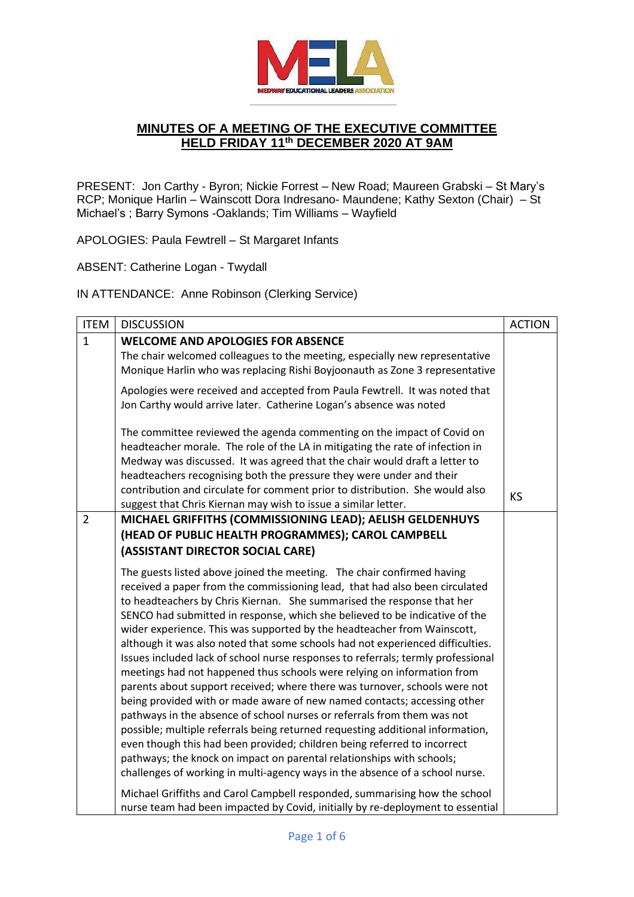

## **MINUTES OF A MEETING OF THE EXECUTIVE COMMITTEE HELD FRIDAY 11th DECEMBER 2020 AT 9AM**

PRESENT: Jon Carthy - Byron; Nickie Forrest – New Road; Maureen Grabski – St Mary's RCP; Monique Harlin – Wainscott Dora Indresano- Maundene; Kathy Sexton (Chair) – St Michael's ; Barry Symons -Oaklands; Tim Williams – Wayfield

APOLOGIES: Paula Fewtrell – St Margaret Infants

ABSENT: Catherine Logan - Twydall

IN ATTENDANCE: Anne Robinson (Clerking Service)

| <b>ITEM</b>    | <b>DISCUSSION</b>                                                                                                                                                                                                                                                                                                                                                                                                                                                                                                                                                                                                                                                                                                                                                                                                                                                                                                                                                                                                                                                                                                                                                                                      | <b>ACTION</b> |
|----------------|--------------------------------------------------------------------------------------------------------------------------------------------------------------------------------------------------------------------------------------------------------------------------------------------------------------------------------------------------------------------------------------------------------------------------------------------------------------------------------------------------------------------------------------------------------------------------------------------------------------------------------------------------------------------------------------------------------------------------------------------------------------------------------------------------------------------------------------------------------------------------------------------------------------------------------------------------------------------------------------------------------------------------------------------------------------------------------------------------------------------------------------------------------------------------------------------------------|---------------|
| $\mathbf{1}$   | <b>WELCOME AND APOLOGIES FOR ABSENCE</b><br>The chair welcomed colleagues to the meeting, especially new representative<br>Monique Harlin who was replacing Rishi Boyjoonauth as Zone 3 representative                                                                                                                                                                                                                                                                                                                                                                                                                                                                                                                                                                                                                                                                                                                                                                                                                                                                                                                                                                                                 |               |
|                | Apologies were received and accepted from Paula Fewtrell. It was noted that<br>Jon Carthy would arrive later. Catherine Logan's absence was noted                                                                                                                                                                                                                                                                                                                                                                                                                                                                                                                                                                                                                                                                                                                                                                                                                                                                                                                                                                                                                                                      |               |
|                | The committee reviewed the agenda commenting on the impact of Covid on<br>headteacher morale. The role of the LA in mitigating the rate of infection in<br>Medway was discussed. It was agreed that the chair would draft a letter to<br>headteachers recognising both the pressure they were under and their                                                                                                                                                                                                                                                                                                                                                                                                                                                                                                                                                                                                                                                                                                                                                                                                                                                                                          |               |
|                | contribution and circulate for comment prior to distribution. She would also<br>suggest that Chris Kiernan may wish to issue a similar letter.                                                                                                                                                                                                                                                                                                                                                                                                                                                                                                                                                                                                                                                                                                                                                                                                                                                                                                                                                                                                                                                         | <b>KS</b>     |
| $\overline{2}$ | MICHAEL GRIFFITHS (COMMISSIONING LEAD); AELISH GELDENHUYS<br>(HEAD OF PUBLIC HEALTH PROGRAMMES); CAROL CAMPBELL<br>(ASSISTANT DIRECTOR SOCIAL CARE)                                                                                                                                                                                                                                                                                                                                                                                                                                                                                                                                                                                                                                                                                                                                                                                                                                                                                                                                                                                                                                                    |               |
|                | The guests listed above joined the meeting. The chair confirmed having<br>received a paper from the commissioning lead, that had also been circulated<br>to headteachers by Chris Kiernan. She summarised the response that her<br>SENCO had submitted in response, which she believed to be indicative of the<br>wider experience. This was supported by the headteacher from Wainscott,<br>although it was also noted that some schools had not experienced difficulties.<br>Issues included lack of school nurse responses to referrals; termly professional<br>meetings had not happened thus schools were relying on information from<br>parents about support received; where there was turnover, schools were not<br>being provided with or made aware of new named contacts; accessing other<br>pathways in the absence of school nurses or referrals from them was not<br>possible; multiple referrals being returned requesting additional information,<br>even though this had been provided; children being referred to incorrect<br>pathways; the knock on impact on parental relationships with schools;<br>challenges of working in multi-agency ways in the absence of a school nurse. |               |
|                | Michael Griffiths and Carol Campbell responded, summarising how the school<br>nurse team had been impacted by Covid, initially by re-deployment to essential                                                                                                                                                                                                                                                                                                                                                                                                                                                                                                                                                                                                                                                                                                                                                                                                                                                                                                                                                                                                                                           |               |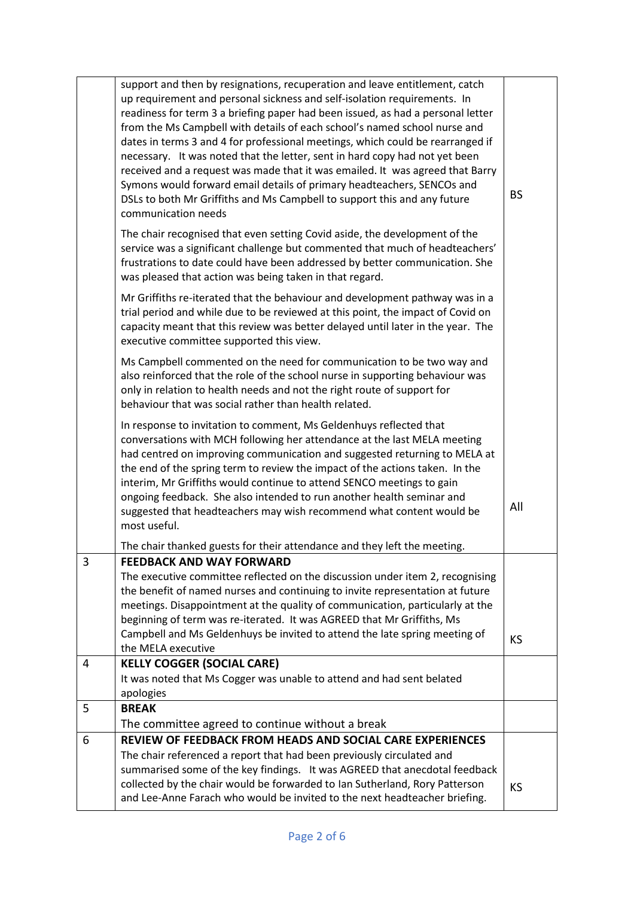|   | support and then by resignations, recuperation and leave entitlement, catch<br>up requirement and personal sickness and self-isolation requirements. In<br>readiness for term 3 a briefing paper had been issued, as had a personal letter<br>from the Ms Campbell with details of each school's named school nurse and<br>dates in terms 3 and 4 for professional meetings, which could be rearranged if<br>necessary. It was noted that the letter, sent in hard copy had not yet been<br>received and a request was made that it was emailed. It was agreed that Barry<br>Symons would forward email details of primary headteachers, SENCOs and<br>DSLs to both Mr Griffiths and Ms Campbell to support this and any future<br>communication needs | <b>BS</b> |
|---|--------------------------------------------------------------------------------------------------------------------------------------------------------------------------------------------------------------------------------------------------------------------------------------------------------------------------------------------------------------------------------------------------------------------------------------------------------------------------------------------------------------------------------------------------------------------------------------------------------------------------------------------------------------------------------------------------------------------------------------------------------|-----------|
|   | The chair recognised that even setting Covid aside, the development of the<br>service was a significant challenge but commented that much of headteachers'<br>frustrations to date could have been addressed by better communication. She<br>was pleased that action was being taken in that regard.                                                                                                                                                                                                                                                                                                                                                                                                                                                   |           |
|   | Mr Griffiths re-iterated that the behaviour and development pathway was in a<br>trial period and while due to be reviewed at this point, the impact of Covid on<br>capacity meant that this review was better delayed until later in the year. The<br>executive committee supported this view.                                                                                                                                                                                                                                                                                                                                                                                                                                                         |           |
|   | Ms Campbell commented on the need for communication to be two way and<br>also reinforced that the role of the school nurse in supporting behaviour was<br>only in relation to health needs and not the right route of support for<br>behaviour that was social rather than health related.                                                                                                                                                                                                                                                                                                                                                                                                                                                             |           |
|   | In response to invitation to comment, Ms Geldenhuys reflected that<br>conversations with MCH following her attendance at the last MELA meeting<br>had centred on improving communication and suggested returning to MELA at<br>the end of the spring term to review the impact of the actions taken. In the<br>interim, Mr Griffiths would continue to attend SENCO meetings to gain<br>ongoing feedback. She also intended to run another health seminar and<br>suggested that headteachers may wish recommend what content would be<br>most useful.                                                                                                                                                                                                  | All       |
|   | The chair thanked guests for their attendance and they left the meeting.                                                                                                                                                                                                                                                                                                                                                                                                                                                                                                                                                                                                                                                                               |           |
| 3 | <b>FEEDBACK AND WAY FORWARD</b><br>The executive committee reflected on the discussion under item 2, recognising<br>the benefit of named nurses and continuing to invite representation at future<br>meetings. Disappointment at the quality of communication, particularly at the<br>beginning of term was re-iterated. It was AGREED that Mr Griffiths, Ms<br>Campbell and Ms Geldenhuys be invited to attend the late spring meeting of<br>the MELA executive                                                                                                                                                                                                                                                                                       | <b>KS</b> |
| 4 | <b>KELLY COGGER (SOCIAL CARE)</b><br>It was noted that Ms Cogger was unable to attend and had sent belated<br>apologies                                                                                                                                                                                                                                                                                                                                                                                                                                                                                                                                                                                                                                |           |
| 5 | <b>BREAK</b>                                                                                                                                                                                                                                                                                                                                                                                                                                                                                                                                                                                                                                                                                                                                           |           |
| 6 | The committee agreed to continue without a break<br><b>REVIEW OF FEEDBACK FROM HEADS AND SOCIAL CARE EXPERIENCES</b>                                                                                                                                                                                                                                                                                                                                                                                                                                                                                                                                                                                                                                   |           |
|   | The chair referenced a report that had been previously circulated and<br>summarised some of the key findings. It was AGREED that anecdotal feedback<br>collected by the chair would be forwarded to Ian Sutherland, Rory Patterson<br>and Lee-Anne Farach who would be invited to the next headteacher briefing.                                                                                                                                                                                                                                                                                                                                                                                                                                       | <b>KS</b> |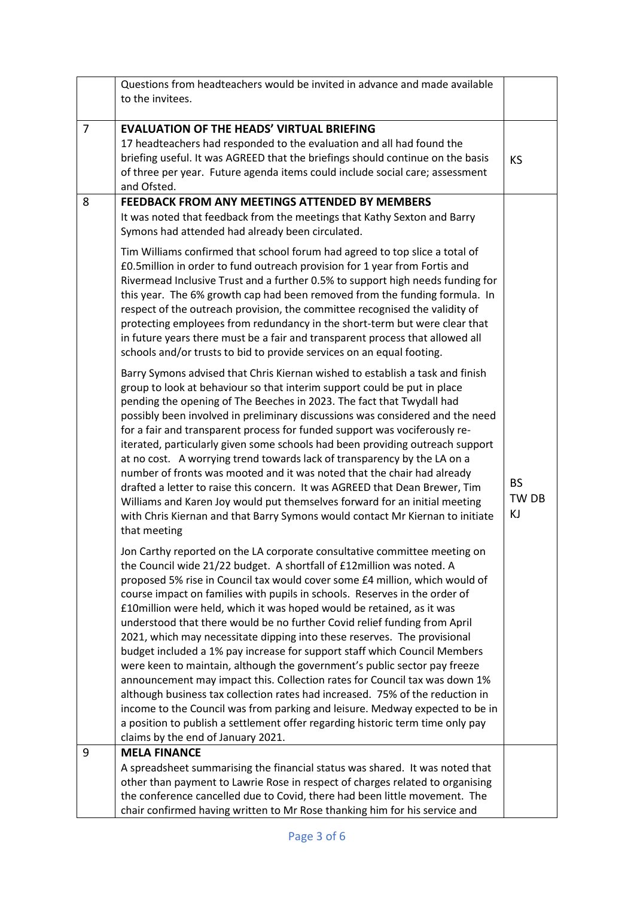|                | Questions from headteachers would be invited in advance and made available<br>to the invitees.                                                                                                                                                                                                                                                                                                                                                                                                                                                                                                                                                                                                                                                                                                                                                                                                                                                                                                                                                                                                                                                                                                                                                                                                                                                                                                                                                                                                                                                                                                                                                                                                                                                                                                                                                                                                                                                                                                                                                                                                                                                                                                                                                                                                                                                                                                                                                                                                                                                                                                                                                                                                                                                                                                                                                             |                          |
|----------------|------------------------------------------------------------------------------------------------------------------------------------------------------------------------------------------------------------------------------------------------------------------------------------------------------------------------------------------------------------------------------------------------------------------------------------------------------------------------------------------------------------------------------------------------------------------------------------------------------------------------------------------------------------------------------------------------------------------------------------------------------------------------------------------------------------------------------------------------------------------------------------------------------------------------------------------------------------------------------------------------------------------------------------------------------------------------------------------------------------------------------------------------------------------------------------------------------------------------------------------------------------------------------------------------------------------------------------------------------------------------------------------------------------------------------------------------------------------------------------------------------------------------------------------------------------------------------------------------------------------------------------------------------------------------------------------------------------------------------------------------------------------------------------------------------------------------------------------------------------------------------------------------------------------------------------------------------------------------------------------------------------------------------------------------------------------------------------------------------------------------------------------------------------------------------------------------------------------------------------------------------------------------------------------------------------------------------------------------------------------------------------------------------------------------------------------------------------------------------------------------------------------------------------------------------------------------------------------------------------------------------------------------------------------------------------------------------------------------------------------------------------------------------------------------------------------------------------------------------------|--------------------------|
| $\overline{7}$ | <b>EVALUATION OF THE HEADS' VIRTUAL BRIEFING</b><br>17 headteachers had responded to the evaluation and all had found the<br>briefing useful. It was AGREED that the briefings should continue on the basis<br>of three per year. Future agenda items could include social care; assessment<br>and Ofsted.                                                                                                                                                                                                                                                                                                                                                                                                                                                                                                                                                                                                                                                                                                                                                                                                                                                                                                                                                                                                                                                                                                                                                                                                                                                                                                                                                                                                                                                                                                                                                                                                                                                                                                                                                                                                                                                                                                                                                                                                                                                                                                                                                                                                                                                                                                                                                                                                                                                                                                                                                 | <b>KS</b>                |
| 8<br>9         | FEEDBACK FROM ANY MEETINGS ATTENDED BY MEMBERS<br>It was noted that feedback from the meetings that Kathy Sexton and Barry<br>Symons had attended had already been circulated.<br>Tim Williams confirmed that school forum had agreed to top slice a total of<br>£0.5million in order to fund outreach provision for 1 year from Fortis and<br>Rivermead Inclusive Trust and a further 0.5% to support high needs funding for<br>this year. The 6% growth cap had been removed from the funding formula. In<br>respect of the outreach provision, the committee recognised the validity of<br>protecting employees from redundancy in the short-term but were clear that<br>in future years there must be a fair and transparent process that allowed all<br>schools and/or trusts to bid to provide services on an equal footing.<br>Barry Symons advised that Chris Kiernan wished to establish a task and finish<br>group to look at behaviour so that interim support could be put in place<br>pending the opening of The Beeches in 2023. The fact that Twydall had<br>possibly been involved in preliminary discussions was considered and the need<br>for a fair and transparent process for funded support was vociferously re-<br>iterated, particularly given some schools had been providing outreach support<br>at no cost. A worrying trend towards lack of transparency by the LA on a<br>number of fronts was mooted and it was noted that the chair had already<br>drafted a letter to raise this concern. It was AGREED that Dean Brewer, Tim<br>Williams and Karen Joy would put themselves forward for an initial meeting<br>with Chris Kiernan and that Barry Symons would contact Mr Kiernan to initiate<br>that meeting<br>Jon Carthy reported on the LA corporate consultative committee meeting on<br>the Council wide 21/22 budget. A shortfall of £12million was noted. A<br>proposed 5% rise in Council tax would cover some £4 million, which would of<br>course impact on families with pupils in schools. Reserves in the order of<br>£10million were held, which it was hoped would be retained, as it was<br>understood that there would be no further Covid relief funding from April<br>2021, which may necessitate dipping into these reserves. The provisional<br>budget included a 1% pay increase for support staff which Council Members<br>were keen to maintain, although the government's public sector pay freeze<br>announcement may impact this. Collection rates for Council tax was down 1%<br>although business tax collection rates had increased. 75% of the reduction in<br>income to the Council was from parking and leisure. Medway expected to be in<br>a position to publish a settlement offer regarding historic term time only pay<br>claims by the end of January 2021.<br><b>MELA FINANCE</b> | <b>BS</b><br>TW DB<br>ΚJ |
|                | A spreadsheet summarising the financial status was shared. It was noted that<br>other than payment to Lawrie Rose in respect of charges related to organising<br>the conference cancelled due to Covid, there had been little movement. The<br>chair confirmed having written to Mr Rose thanking him for his service and                                                                                                                                                                                                                                                                                                                                                                                                                                                                                                                                                                                                                                                                                                                                                                                                                                                                                                                                                                                                                                                                                                                                                                                                                                                                                                                                                                                                                                                                                                                                                                                                                                                                                                                                                                                                                                                                                                                                                                                                                                                                                                                                                                                                                                                                                                                                                                                                                                                                                                                                  |                          |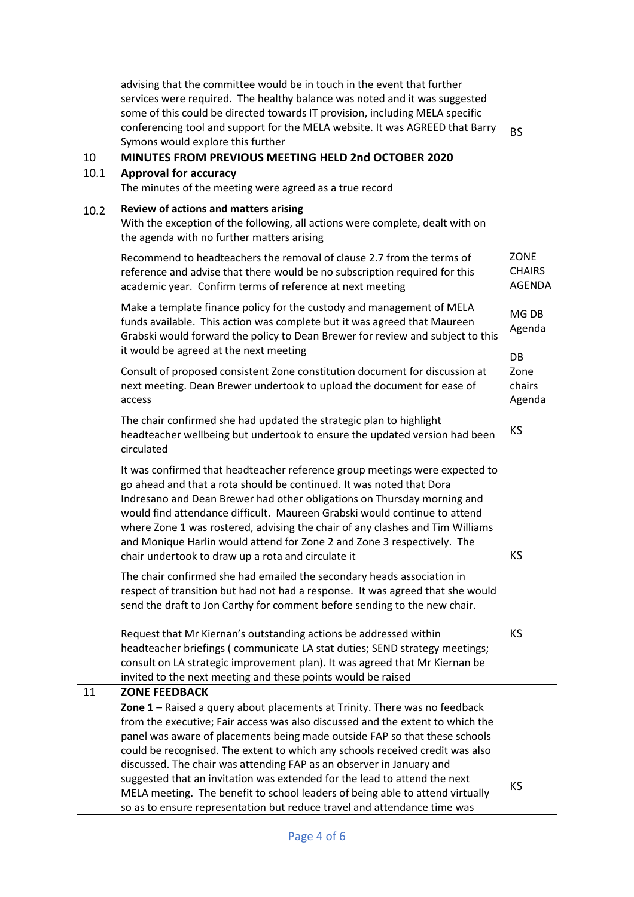|      | advising that the committee would be in touch in the event that further                                                                                                                                                                                                                                                                                                                                                                                                                                                       |                                        |
|------|-------------------------------------------------------------------------------------------------------------------------------------------------------------------------------------------------------------------------------------------------------------------------------------------------------------------------------------------------------------------------------------------------------------------------------------------------------------------------------------------------------------------------------|----------------------------------------|
|      | services were required. The healthy balance was noted and it was suggested                                                                                                                                                                                                                                                                                                                                                                                                                                                    |                                        |
|      | some of this could be directed towards IT provision, including MELA specific                                                                                                                                                                                                                                                                                                                                                                                                                                                  |                                        |
|      | conferencing tool and support for the MELA website. It was AGREED that Barry                                                                                                                                                                                                                                                                                                                                                                                                                                                  | <b>BS</b>                              |
|      | Symons would explore this further                                                                                                                                                                                                                                                                                                                                                                                                                                                                                             |                                        |
| 10   | MINUTES FROM PREVIOUS MEETING HELD 2nd OCTOBER 2020                                                                                                                                                                                                                                                                                                                                                                                                                                                                           |                                        |
| 10.1 | <b>Approval for accuracy</b>                                                                                                                                                                                                                                                                                                                                                                                                                                                                                                  |                                        |
|      | The minutes of the meeting were agreed as a true record                                                                                                                                                                                                                                                                                                                                                                                                                                                                       |                                        |
|      |                                                                                                                                                                                                                                                                                                                                                                                                                                                                                                                               |                                        |
| 10.2 | Review of actions and matters arising<br>With the exception of the following, all actions were complete, dealt with on<br>the agenda with no further matters arising                                                                                                                                                                                                                                                                                                                                                          |                                        |
|      | Recommend to headteachers the removal of clause 2.7 from the terms of<br>reference and advise that there would be no subscription required for this<br>academic year. Confirm terms of reference at next meeting                                                                                                                                                                                                                                                                                                              | ZONE<br><b>CHAIRS</b><br><b>AGENDA</b> |
|      | Make a template finance policy for the custody and management of MELA<br>funds available. This action was complete but it was agreed that Maureen<br>Grabski would forward the policy to Dean Brewer for review and subject to this<br>it would be agreed at the next meeting                                                                                                                                                                                                                                                 | MG <sub>DB</sub><br>Agenda             |
|      |                                                                                                                                                                                                                                                                                                                                                                                                                                                                                                                               | DB                                     |
|      | Consult of proposed consistent Zone constitution document for discussion at<br>next meeting. Dean Brewer undertook to upload the document for ease of<br>access                                                                                                                                                                                                                                                                                                                                                               | Zone<br>chairs<br>Agenda               |
|      | The chair confirmed she had updated the strategic plan to highlight<br>headteacher wellbeing but undertook to ensure the updated version had been<br>circulated                                                                                                                                                                                                                                                                                                                                                               | <b>KS</b>                              |
|      | It was confirmed that headteacher reference group meetings were expected to<br>go ahead and that a rota should be continued. It was noted that Dora<br>Indresano and Dean Brewer had other obligations on Thursday morning and<br>would find attendance difficult. Maureen Grabski would continue to attend<br>where Zone 1 was rostered, advising the chair of any clashes and Tim Williams<br>and Monique Harlin would attend for Zone 2 and Zone 3 respectively. The<br>chair undertook to draw up a rota and circulate it | KS                                     |
|      | The chair confirmed she had emailed the secondary heads association in<br>respect of transition but had not had a response. It was agreed that she would<br>send the draft to Jon Carthy for comment before sending to the new chair.                                                                                                                                                                                                                                                                                         |                                        |
|      | Request that Mr Kiernan's outstanding actions be addressed within<br>headteacher briefings (communicate LA stat duties; SEND strategy meetings;<br>consult on LA strategic improvement plan). It was agreed that Mr Kiernan be<br>invited to the next meeting and these points would be raised                                                                                                                                                                                                                                | <b>KS</b>                              |
| 11   | <b>ZONE FEEDBACK</b>                                                                                                                                                                                                                                                                                                                                                                                                                                                                                                          |                                        |
|      | Zone 1 - Raised a query about placements at Trinity. There was no feedback<br>from the executive; Fair access was also discussed and the extent to which the<br>panel was aware of placements being made outside FAP so that these schools<br>could be recognised. The extent to which any schools received credit was also                                                                                                                                                                                                   |                                        |
|      | discussed. The chair was attending FAP as an observer in January and<br>suggested that an invitation was extended for the lead to attend the next<br>MELA meeting. The benefit to school leaders of being able to attend virtually<br>so as to ensure representation but reduce travel and attendance time was                                                                                                                                                                                                                | <b>KS</b>                              |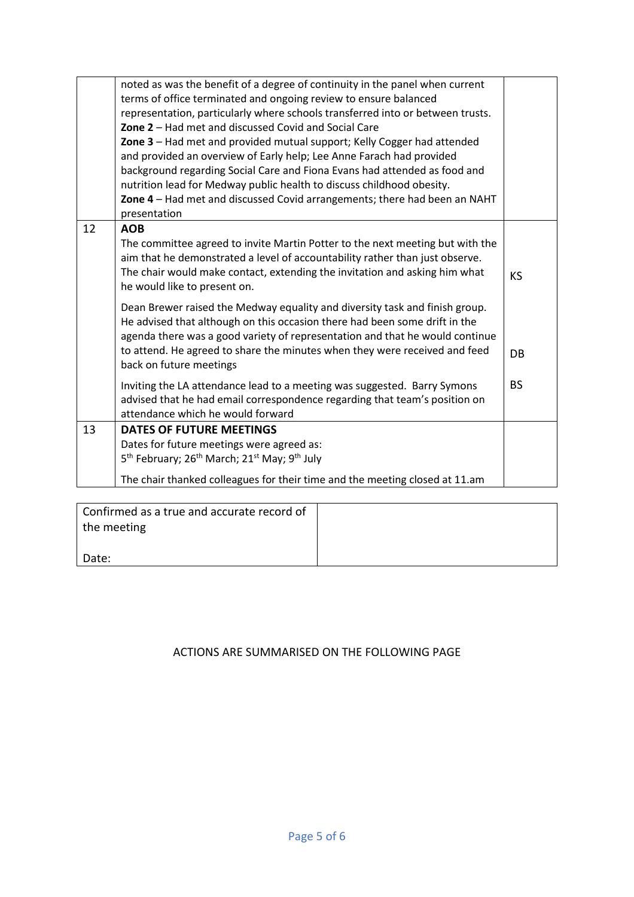|    | noted as was the benefit of a degree of continuity in the panel when current<br>terms of office terminated and ongoing review to ensure balanced<br>representation, particularly where schools transferred into or between trusts.<br>Zone 2 - Had met and discussed Covid and Social Care<br>Zone 3 - Had met and provided mutual support; Kelly Cogger had attended<br>and provided an overview of Early help; Lee Anne Farach had provided<br>background regarding Social Care and Fiona Evans had attended as food and<br>nutrition lead for Medway public health to discuss childhood obesity.<br>Zone 4 - Had met and discussed Covid arrangements; there had been an NAHT<br>presentation |           |
|----|--------------------------------------------------------------------------------------------------------------------------------------------------------------------------------------------------------------------------------------------------------------------------------------------------------------------------------------------------------------------------------------------------------------------------------------------------------------------------------------------------------------------------------------------------------------------------------------------------------------------------------------------------------------------------------------------------|-----------|
| 12 | <b>AOB</b><br>The committee agreed to invite Martin Potter to the next meeting but with the<br>aim that he demonstrated a level of accountability rather than just observe.<br>The chair would make contact, extending the invitation and asking him what<br>he would like to present on.                                                                                                                                                                                                                                                                                                                                                                                                        | <b>KS</b> |
|    | Dean Brewer raised the Medway equality and diversity task and finish group.<br>He advised that although on this occasion there had been some drift in the<br>agenda there was a good variety of representation and that he would continue<br>to attend. He agreed to share the minutes when they were received and feed<br>back on future meetings                                                                                                                                                                                                                                                                                                                                               | DB        |
|    | Inviting the LA attendance lead to a meeting was suggested. Barry Symons<br>advised that he had email correspondence regarding that team's position on<br>attendance which he would forward                                                                                                                                                                                                                                                                                                                                                                                                                                                                                                      | <b>BS</b> |
| 13 | <b>DATES OF FUTURE MEETINGS</b><br>Dates for future meetings were agreed as:<br>5 <sup>th</sup> February; 26 <sup>th</sup> March; 21 <sup>st</sup> May; 9 <sup>th</sup> July<br>The chair thanked colleagues for their time and the meeting closed at 11.am                                                                                                                                                                                                                                                                                                                                                                                                                                      |           |

| Confirmed as a true and accurate record of<br>the meeting |  |
|-----------------------------------------------------------|--|
| Date:                                                     |  |

## ACTIONS ARE SUMMARISED ON THE FOLLOWING PAGE